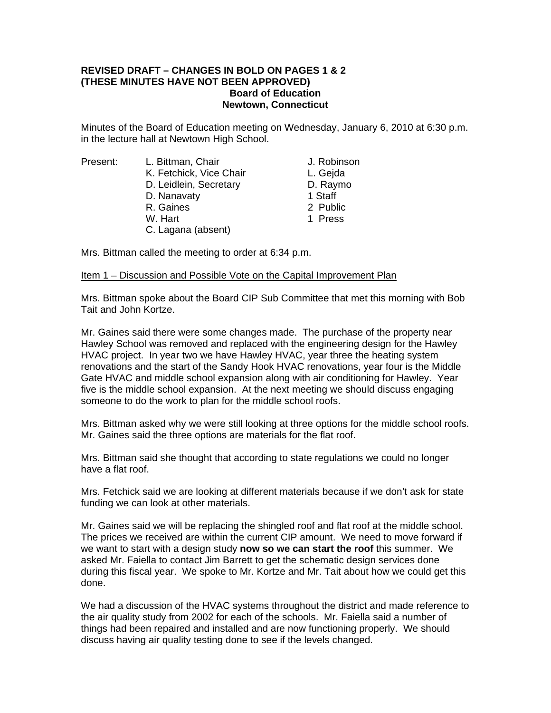## **REVISED DRAFT – CHANGES IN BOLD ON PAGES 1 & 2 (THESE MINUTES HAVE NOT BEEN APPROVED) Board of Education Newtown, Connecticut**

Minutes of the Board of Education meeting on Wednesday, January 6, 2010 at 6:30 p.m. in the lecture hall at Newtown High School.

Present: L. Bittman, Chair Chair J. Robinson K. Fetchick, Vice Chair **L. Geida** D. Leidlein, Secretary D. Raymo D. Nanavaty 1 Staff R. Gaines 2 Public W. Hart 1 Press C. Lagana (absent)

Mrs. Bittman called the meeting to order at 6:34 p.m.

## Item 1 – Discussion and Possible Vote on the Capital Improvement Plan

Mrs. Bittman spoke about the Board CIP Sub Committee that met this morning with Bob Tait and John Kortze.

Mr. Gaines said there were some changes made. The purchase of the property near Hawley School was removed and replaced with the engineering design for the Hawley HVAC project. In year two we have Hawley HVAC, year three the heating system renovations and the start of the Sandy Hook HVAC renovations, year four is the Middle Gate HVAC and middle school expansion along with air conditioning for Hawley. Year five is the middle school expansion. At the next meeting we should discuss engaging someone to do the work to plan for the middle school roofs.

Mrs. Bittman asked why we were still looking at three options for the middle school roofs. Mr. Gaines said the three options are materials for the flat roof.

Mrs. Bittman said she thought that according to state regulations we could no longer have a flat roof.

Mrs. Fetchick said we are looking at different materials because if we don't ask for state funding we can look at other materials.

Mr. Gaines said we will be replacing the shingled roof and flat roof at the middle school. The prices we received are within the current CIP amount. We need to move forward if we want to start with a design study **now so we can start the roof** this summer. We asked Mr. Faiella to contact Jim Barrett to get the schematic design services done during this fiscal year. We spoke to Mr. Kortze and Mr. Tait about how we could get this done.

We had a discussion of the HVAC systems throughout the district and made reference to the air quality study from 2002 for each of the schools. Mr. Faiella said a number of things had been repaired and installed and are now functioning properly. We should discuss having air quality testing done to see if the levels changed.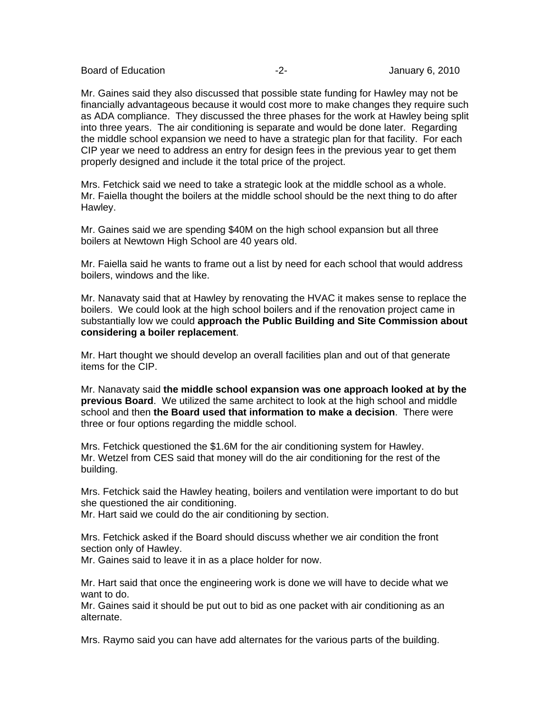Board of Education **-2-** Figure -2- Figure -2- January 6, 2010

Mr. Gaines said they also discussed that possible state funding for Hawley may not be financially advantageous because it would cost more to make changes they require such as ADA compliance. They discussed the three phases for the work at Hawley being split into three years. The air conditioning is separate and would be done later. Regarding the middle school expansion we need to have a strategic plan for that facility. For each CIP year we need to address an entry for design fees in the previous year to get them properly designed and include it the total price of the project.

Mrs. Fetchick said we need to take a strategic look at the middle school as a whole. Mr. Faiella thought the boilers at the middle school should be the next thing to do after Hawley.

Mr. Gaines said we are spending \$40M on the high school expansion but all three boilers at Newtown High School are 40 years old.

Mr. Faiella said he wants to frame out a list by need for each school that would address boilers, windows and the like.

Mr. Nanavaty said that at Hawley by renovating the HVAC it makes sense to replace the boilers. We could look at the high school boilers and if the renovation project came in substantially low we could **approach the Public Building and Site Commission about considering a boiler replacement**.

Mr. Hart thought we should develop an overall facilities plan and out of that generate items for the CIP.

Mr. Nanavaty said **the middle school expansion was one approach looked at by the previous Board**.We utilized the same architect to look at the high school and middle school and then **the Board used that information to make a decision**. There were three or four options regarding the middle school.

Mrs. Fetchick questioned the \$1.6M for the air conditioning system for Hawley. Mr. Wetzel from CES said that money will do the air conditioning for the rest of the building.

Mrs. Fetchick said the Hawley heating, boilers and ventilation were important to do but she questioned the air conditioning.

Mr. Hart said we could do the air conditioning by section.

Mrs. Fetchick asked if the Board should discuss whether we air condition the front section only of Hawley.

Mr. Gaines said to leave it in as a place holder for now.

Mr. Hart said that once the engineering work is done we will have to decide what we want to do.

Mr. Gaines said it should be put out to bid as one packet with air conditioning as an alternate.

Mrs. Raymo said you can have add alternates for the various parts of the building.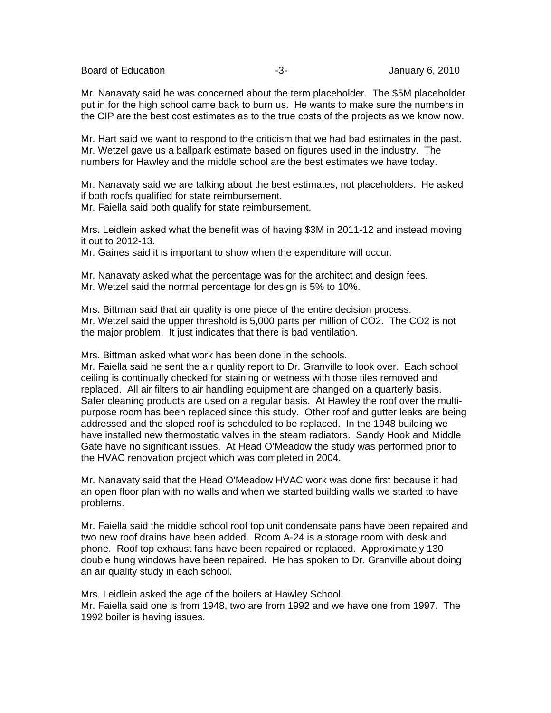Board of Education **-3-** Figure -3- Figure -3- January 6, 2010

Mr. Nanavaty said he was concerned about the term placeholder. The \$5M placeholder put in for the high school came back to burn us. He wants to make sure the numbers in the CIP are the best cost estimates as to the true costs of the projects as we know now.

Mr. Hart said we want to respond to the criticism that we had bad estimates in the past. Mr. Wetzel gave us a ballpark estimate based on figures used in the industry. The numbers for Hawley and the middle school are the best estimates we have today.

Mr. Nanavaty said we are talking about the best estimates, not placeholders. He asked if both roofs qualified for state reimbursement.

Mr. Faiella said both qualify for state reimbursement.

Mrs. Leidlein asked what the benefit was of having \$3M in 2011-12 and instead moving it out to 2012-13.

Mr. Gaines said it is important to show when the expenditure will occur.

Mr. Nanavaty asked what the percentage was for the architect and design fees. Mr. Wetzel said the normal percentage for design is 5% to 10%.

Mrs. Bittman said that air quality is one piece of the entire decision process. Mr. Wetzel said the upper threshold is 5,000 parts per million of CO2. The CO2 is not the major problem. It just indicates that there is bad ventilation.

Mrs. Bittman asked what work has been done in the schools.

Mr. Faiella said he sent the air quality report to Dr. Granville to look over. Each school ceiling is continually checked for staining or wetness with those tiles removed and replaced. All air filters to air handling equipment are changed on a quarterly basis. Safer cleaning products are used on a regular basis. At Hawley the roof over the multipurpose room has been replaced since this study. Other roof and gutter leaks are being addressed and the sloped roof is scheduled to be replaced. In the 1948 building we have installed new thermostatic valves in the steam radiators. Sandy Hook and Middle Gate have no significant issues. At Head O'Meadow the study was performed prior to the HVAC renovation project which was completed in 2004.

Mr. Nanavaty said that the Head O'Meadow HVAC work was done first because it had an open floor plan with no walls and when we started building walls we started to have problems.

Mr. Faiella said the middle school roof top unit condensate pans have been repaired and two new roof drains have been added. Room A-24 is a storage room with desk and phone. Roof top exhaust fans have been repaired or replaced. Approximately 130 double hung windows have been repaired. He has spoken to Dr. Granville about doing an air quality study in each school.

Mrs. Leidlein asked the age of the boilers at Hawley School. Mr. Faiella said one is from 1948, two are from 1992 and we have one from 1997. The 1992 boiler is having issues.